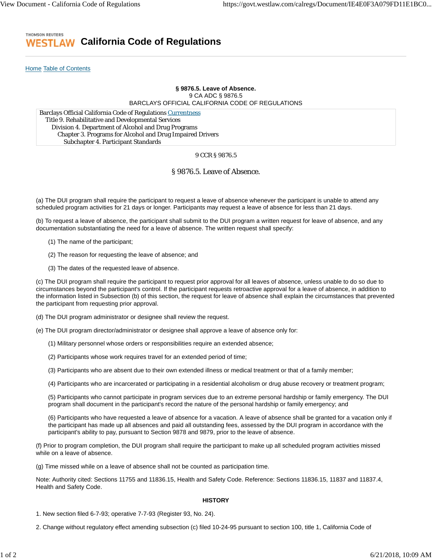#### THOMSON REUTERS **California Code of Regulations** ESTL AW

Home Table of Contents

# **§ 9876.5. Leave of Absence.** 9 CA ADC § 9876.5 BARCLAYS OFFICIAL CALIFORNIA CODE OF REGULATIONS

Barclays Official California Code of Regulations Currentness Title 9. Rehabilitative and Developmental Services Division 4. Department of Alcohol and Drug Programs Chapter 3. Programs for Alcohol and Drug Impaired Drivers Subchapter 4. Participant Standards

### 9 CCR § 9876.5

## § 9876.5. Leave of Absence.

(a) The DUI program shall require the participant to request a leave of absence whenever the participant is unable to attend any scheduled program activities for 21 days or longer. Participants may request a leave of absence for less than 21 days.

(b) To request a leave of absence, the participant shall submit to the DUI program a written request for leave of absence, and any documentation substantiating the need for a leave of absence. The written request shall specify:

- (1) The name of the participant;
- (2) The reason for requesting the leave of absence; and
- (3) The dates of the requested leave of absence.

(c) The DUI program shall require the participant to request prior approval for all leaves of absence, unless unable to do so due to circumstances beyond the participant's control. If the participant requests retroactive approval for a leave of absence, in addition to the information listed in Subsection (b) of this section, the request for leave of absence shall explain the circumstances that prevented the participant from requesting prior approval.

- (d) The DUI program administrator or designee shall review the request.
- (e) The DUI program director/administrator or designee shall approve a leave of absence only for:
	- (1) Military personnel whose orders or responsibilities require an extended absence;
	- (2) Participants whose work requires travel for an extended period of time;
	- (3) Participants who are absent due to their own extended illness or medical treatment or that of a family member;
	- (4) Participants who are incarcerated or participating in a residential alcoholism or drug abuse recovery or treatment program;

(5) Participants who cannot participate in program services due to an extreme personal hardship or family emergency. The DUI program shall document in the participant's record the nature of the personal hardship or family emergency; and

(6) Participants who have requested a leave of absence for a vacation. A leave of absence shall be granted for a vacation only if the participant has made up all absences and paid all outstanding fees, assessed by the DUI program in accordance with the participant's ability to pay, pursuant to Section 9878 and 9879, prior to the leave of absence.

(f) Prior to program completion, the DUI program shall require the participant to make up all scheduled program activities missed while on a leave of absence.

(g) Time missed while on a leave of absence shall not be counted as participation time.

Note: Authority cited: Sections 11755 and 11836.15, Health and Safety Code. Reference: Sections 11836.15, 11837 and 11837.4, Health and Safety Code.

### **HISTORY**

1. New section filed 6-7-93; operative 7-7-93 (Register 93, No. 24).

2. Change without regulatory effect amending subsection (c) filed 10-24-95 pursuant to section 100, title 1, California Code of